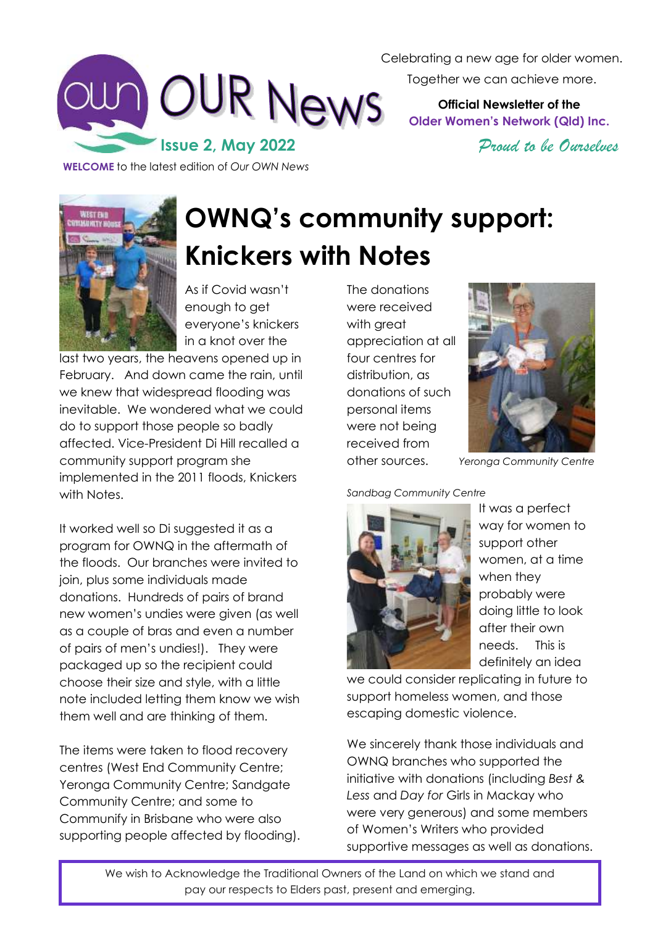

Celebrating a new age for older women. Together we can achieve more.

> **Official Newsletter of the Older Women's Network (Qld) Inc.**

> > *Proud to be Ourselves*

**WELCOME** to the latest edition of *Our OWN News*



**OWNQ's community support: Knickers with Notes** 

As if Covid wasn't enough to get everyone's knickers in a knot over the

last two years, the heavens opened up in February. And down came the rain, until we knew that widespread flooding was inevitable. We wondered what we could do to support those people so badly affected. Vice-President Di Hill recalled a community support program she implemented in the 2011 floods, Knickers with Notes.

It worked well so Di suggested it as a program for OWNQ in the aftermath of the floods. Our branches were invited to join, plus some individuals made donations. Hundreds of pairs of brand new women's undies were given (as well as a couple of bras and even a number of pairs of men's undies!). They were packaged up so the recipient could choose their size and style, with a little note included letting them know we wish them well and are thinking of them.

The items were taken to flood recovery centres (West End Community Centre; Yeronga Community Centre; Sandgate Community Centre; and some to Communify in Brisbane who were also supporting people affected by flooding). The donations were received with great appreciation at all four centres for distribution, as donations of such personal items were not being received from



other sources. *Yeronga Community Centre*

*Sandbag Community Centre*



It was a perfect way for women to support other women, at a time when they probably were doing little to look after their own needs. This is definitely an idea

we could consider replicating in future to support homeless women, and those escaping domestic violence.

We sincerely thank those individuals and OWNQ branches who supported the initiative with donations (including *Best & Less* and *Day for* Girls in Mackay who were very generous) and some members of Women's Writers who provided supportive messages as well as donations.

We wish to Acknowledge the Traditional Owners of the Land on which we stand and pay our respects to Elders past, present and emerging.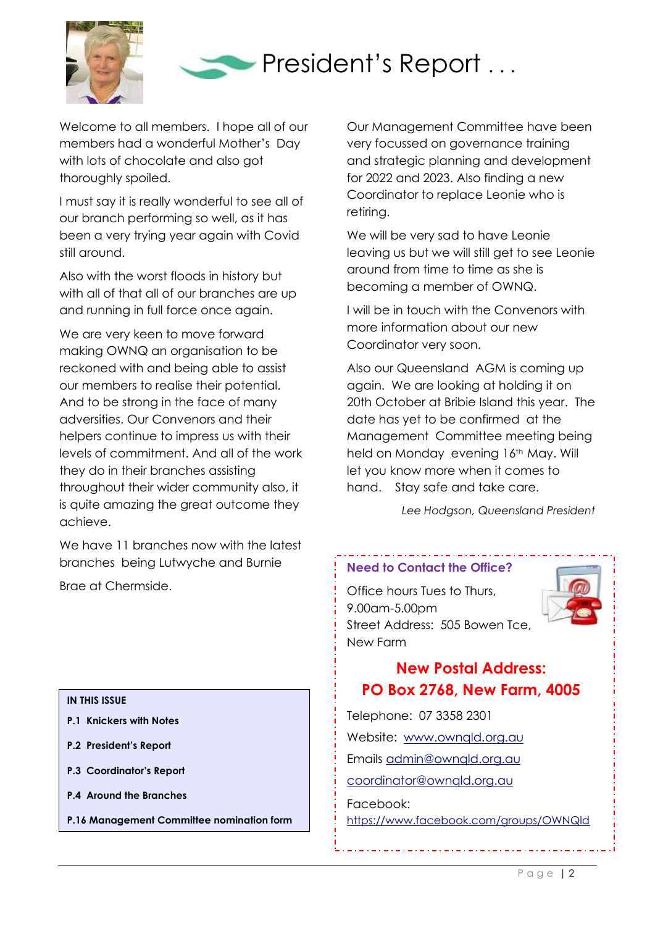



Welcome to all members. I hope all of our members had a wonderful Mother's Day with lots of chocolate and also got thoroughly spoiled.

I must say it is really wonderful to see all of our branch performing so well, as it has been a very trying year again with Covid still around.

Also with the worst floods in history but with all of that all of our branches are up and running in full force once again.

We are very keen to move forward making OWNQ an organisation to be reckoned with and being able to assist our members to realise their potential. And to be strong in the face of many adversities. Our Convenors and their helpers continue to impress us with their levels of commitment. And all of the work they do in their branches assisting throughout their wider community also, it is quite amazing the great outcome they achieve.

We have 11 branches now with the latest branches being Lutwyche and Burnie

Brae at Chermside.

**IN THIS ISSUE**

- **P.1 Knickers with Notes**
- **P.2 President's Report**
- **P.3 Coordinator's Report**
- **P.4 Around the Branches**
- **P.16 Management Committee nomination form**

Our Management Committee have been very focussed on governance training and strategic planning and development for 2022 and 2023. Also finding a new Coordinator to replace Leonie who is retiring.

We will be very sad to have Leonie leaving us but we will still get to see Leonie around from time to time as she is becoming a member of OWNQ.

I will be in touch with the Convenors with more information about our new Coordinator very soon.

Also our Queensland AGM is coming up again. We are looking at holding it on 20th October at Bribie Island this year. The date has yet to be confirmed at the Management Committee meeting being held on Monday evening 16<sup>th</sup> May. Will let you know more when it comes to hand. Stay safe and take care.

 *Lee Hodgson, Queensland President*

#### **Need to Contact the Office?**

Office hours Tues to Thurs, 9.00am-5.00pm Street Address: 505 Bowen Tce, New Farm



# **New Postal Address: PO Box 2768, New Farm, 4005**

Telephone: 07 3358 2301 Website: [www.ownqld.org.au](http://www.ownqld.org.au/) Emails [admin@ownqld.org.au](mailto:admin@ownqld.org.au) [coordinator@ownqld.org.au](mailto:coordinator@ownqld.org.au) Facebook: <https://www.facebook.com/groups/OWNQld>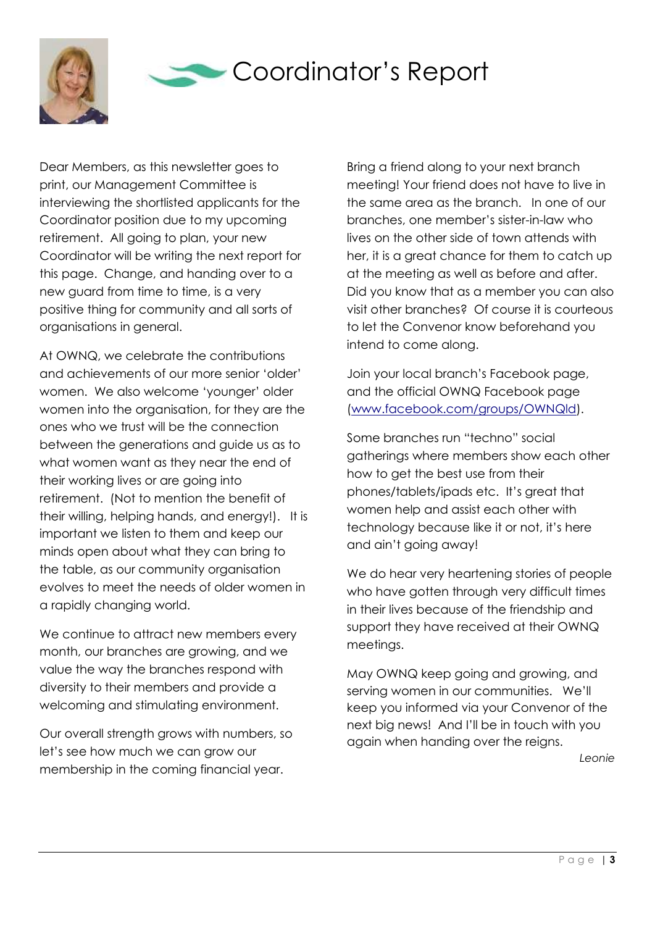

# Coordinator's Report

Dear Members, as this newsletter goes to print, our Management Committee is interviewing the shortlisted applicants for the Coordinator position due to my upcoming retirement. All going to plan, your new Coordinator will be writing the next report for this page. Change, and handing over to a new guard from time to time, is a very positive thing for community and all sorts of organisations in general.

At OWNQ, we celebrate the contributions and achievements of our more senior 'older' women. We also welcome 'younger' older women into the organisation, for they are the ones who we trust will be the connection between the generations and guide us as to what women want as they near the end of their working lives or are going into retirement. (Not to mention the benefit of their willing, helping hands, and energy!). It is important we listen to them and keep our minds open about what they can bring to the table, as our community organisation evolves to meet the needs of older women in a rapidly changing world.

We continue to attract new members every month, our branches are growing, and we value the way the branches respond with diversity to their members and provide a welcoming and stimulating environment.

Our overall strength grows with numbers, so let's see how much we can grow our membership in the coming financial year.

Bring a friend along to your next branch meeting! Your friend does not have to live in the same area as the branch. In one of our branches, one member's sister-in-law who lives on the other side of town attends with her, it is a great chance for them to catch up at the meeting as well as before and after. Did you know that as a member you can also visit other branches? Of course it is courteous to let the Convenor know beforehand you intend to come along.

Join your local branch's Facebook page, and the official OWNQ Facebook page [\(www.facebook.com/groups/OWNQld\)](http://www.facebook.com/groups/OWNQld).

Some branches run "techno" social gatherings where members show each other how to get the best use from their phones/tablets/ipads etc. It's great that women help and assist each other with technology because like it or not, it's here and ain't going away!

We do hear very heartening stories of people who have gotten through very difficult times in their lives because of the friendship and support they have received at their OWNQ meetings.

May OWNQ keep going and growing, and serving women in our communities. We'll keep you informed via your Convenor of the next big news! And I'll be in touch with you again when handing over the reigns.

*Leonie*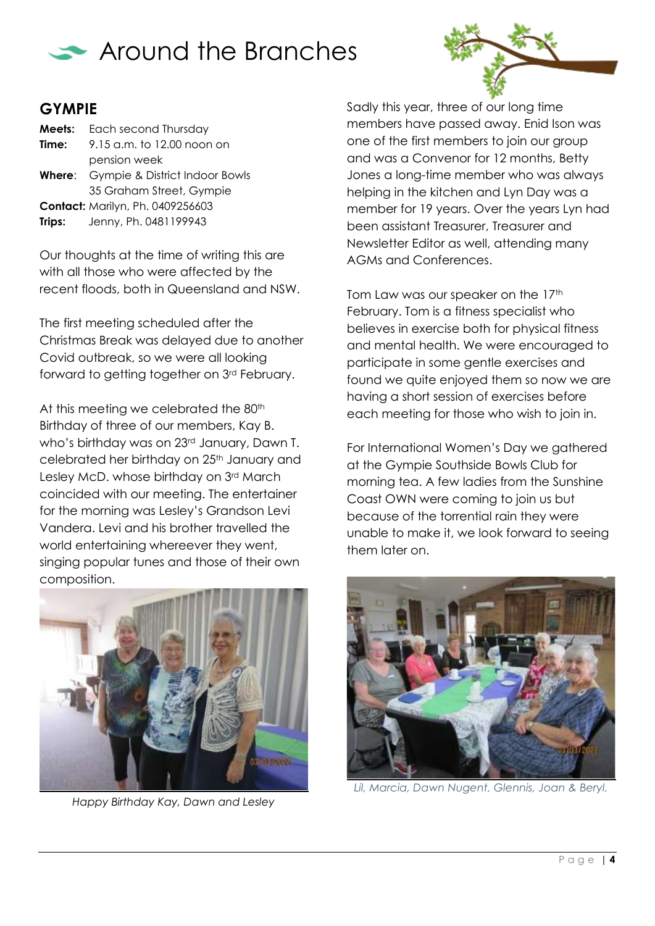



## **GYMPIE**

| Meets: | Each second Thursday                         |  |
|--------|----------------------------------------------|--|
| Time:  | 9.15 a.m. to 12.00 noon on                   |  |
|        | pension week                                 |  |
|        | <b>Where:</b> Gympie & District Indoor Bowls |  |
|        | 35 Graham Street, Gympie                     |  |
|        | <b>Contact: Marilyn, Ph. 0409256603</b>      |  |
| Trips: | Jenny, Ph. 0481199943                        |  |

Our thoughts at the time of writing this are with all those who were affected by the recent floods, both in Queensland and NSW.

The first meeting scheduled after the Christmas Break was delayed due to another Covid outbreak, so we were all looking forward to getting together on 3rd February.

At this meeting we celebrated the 80<sup>th</sup> Birthday of three of our members, Kay B. who's birthday was on 23<sup>rd</sup> January, Dawn T. celebrated her birthday on 25<sup>th</sup> January and Lesley McD. whose birthday on 3rd March coincided with our meeting. The entertainer for the morning was Lesley's Grandson Levi Vandera. Levi and his brother travelled the world entertaining whereever they went, singing popular tunes and those of their own composition.



*Happy Birthday Kay, Dawn and Lesley*

Sadly this year, three of our long time members have passed away. Enid Ison was one of the first members to join our group and was a Convenor for 12 months, Betty Jones a long-time member who was always helping in the kitchen and Lyn Day was a member for 19 years. Over the years Lyn had been assistant Treasurer, Treasurer and Newsletter Editor as well, attending many AGMs and Conferences.

Tom Law was our speaker on the 17<sup>th</sup> February. Tom is a fitness specialist who believes in exercise both for physical fitness and mental health. We were encouraged to participate in some gentle exercises and found we quite enjoyed them so now we are having a short session of exercises before each meeting for those who wish to join in.

For International Women's Day we gathered at the Gympie Southside Bowls Club for morning tea. A few ladies from the Sunshine Coast OWN were coming to join us but because of the torrential rain they were unable to make it, we look forward to seeing them later on.



*Lil, Marcia, Dawn Nugent, Glennis, Joan & Beryl.*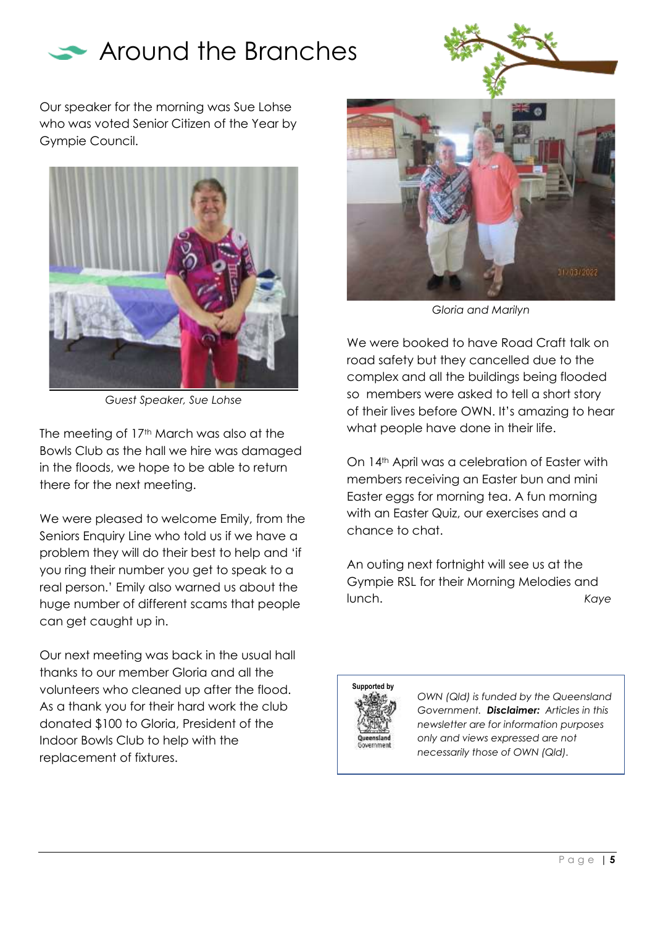



Our speaker for the morning was Sue Lohse who was voted Senior Citizen of the Year by Gympie Council.



*Guest Speaker, Sue Lohse*

The meeting of 17<sup>th</sup> March was also at the Bowls Club as the hall we hire was damaged in the floods, we hope to be able to return there for the next meeting.

We were pleased to welcome Emily, from the Seniors Enquiry Line who told us if we have a problem they will do their best to help and 'if you ring their number you get to speak to a real person.' Emily also warned us about the huge number of different scams that people can get caught up in.

Our next meeting was back in the usual hall thanks to our member Gloria and all the volunteers who cleaned up after the flood. As a thank you for their hard work the club donated \$100 to Gloria, President of the Indoor Bowls Club to help with the replacement of fixtures.



*Gloria and Marilyn*

We were booked to have Road Craft talk on road safety but they cancelled due to the complex and all the buildings being flooded so members were asked to tell a short story of their lives before OWN. It's amazing to hear what people have done in their life.

On 14<sup>th</sup> April was a celebration of Easter with members receiving an Easter bun and mini Easter eggs for morning tea. A fun morning with an Easter Quiz, our exercises and a chance to chat.

An outing next fortnight will see us at the Gympie RSL for their Morning Melodies and lunch. *Kaye*



*OWN (Qld) is funded by the Queensland Government. Disclaimer: Articles in this newsletter are for information purposes only and views expressed are not necessarily those of OWN (Qld).*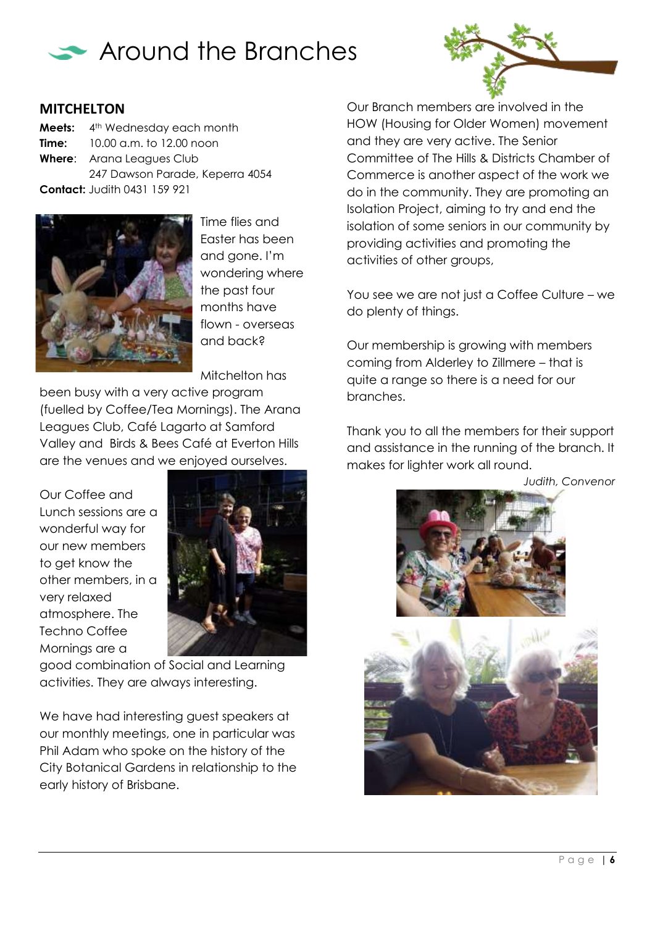



#### **MITCHELTON**

**Meets:** 4<sup>th</sup> Wednesday each month **Time:** 10.00 a.m. to 12.00 noon **Where**: Arana Leagues Club 247 Dawson Parade, Keperra 4054 **Contact:** Judith 0431 159 921



Time flies and Easter has been and gone. I'm wondering where the past four months have flown - overseas and back?

Mitchelton has been busy with a very active program (fuelled by Coffee/Tea Mornings). The Arana Leagues Club, Café Lagarto at Samford Valley and Birds & Bees Café at Everton Hills are the venues and we enjoyed ourselves.

Our Coffee and Lunch sessions are a wonderful way for our new members to get know the other members, in a very relaxed atmosphere. The Techno Coffee Mornings are a



good combination of Social and Learning activities. They are always interesting.

We have had interesting guest speakers at our monthly meetings, one in particular was Phil Adam who spoke on the history of the City Botanical Gardens in relationship to the early history of Brisbane.

Our Branch members are involved in the HOW (Housing for Older Women) movement and they are very active. The Senior Committee of The Hills & Districts Chamber of Commerce is another aspect of the work we do in the community. They are promoting an Isolation Project, aiming to try and end the isolation of some seniors in our community by providing activities and promoting the activities of other groups,

You see we are not just a Coffee Culture – we do plenty of things.

Our membership is growing with members coming from Alderley to Zillmere – that is quite a range so there is a need for our branches.

Thank you to all the members for their support and assistance in the running of the branch. It makes for lighter work all round.

*Judith, Convenor*

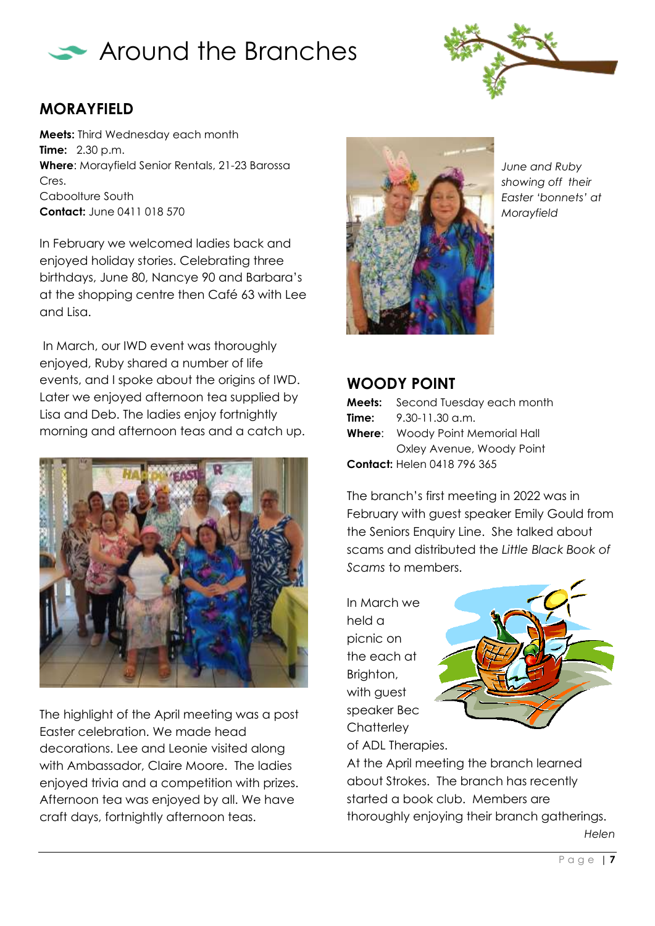



# **MORAYFIELD**

**Meets:** Third Wednesday each month **Time:** 2.30 p.m. **Where**: Morayfield Senior Rentals, 21-23 Barossa Cres. Caboolture South **Contact:** June 0411 018 570

In February we welcomed ladies back and enjoyed holiday stories. Celebrating three birthdays, June 80, Nancye 90 and Barbara's at the shopping centre then Café 63 with Lee and Lisa.

In March, our IWD event was thoroughly enjoyed, Ruby shared a number of life events, and I spoke about the origins of IWD. Later we enjoyed afternoon tea supplied by Lisa and Deb. The ladies enjoy fortnightly morning and afternoon teas and a catch up.



The highlight of the April meeting was a post Easter celebration. We made head decorations. Lee and Leonie visited along with Ambassador, Claire Moore. The ladies enjoyed trivia and a competition with prizes. Afternoon tea was enjoyed by all. We have craft days, fortnightly afternoon teas.



*June and Ruby showing off their Easter 'bonnets' at Morayfield*

#### **WOODY POINT**

| Meets:                             | Second Tuesday each month               |  |
|------------------------------------|-----------------------------------------|--|
| Time:                              | $9.30 - 11.30$ a.m.                     |  |
|                                    | <b>Where:</b> Woody Point Memorial Hall |  |
|                                    | Oxley Avenue, Woody Point               |  |
| <b>Contact: Helen 0418 796 365</b> |                                         |  |

The branch's first meeting in 2022 was in February with guest speaker Emily Gould from the Seniors Enquiry Line. She talked about scams and distributed the *Little Black Book of Scams* to members.

In March we held a picnic on the each at Brighton, with guest speaker Bec **Chatterley** of ADL Therapies.



At the April meeting the branch learned about Strokes. The branch has recently started a book club. Members are thoroughly enjoying their branch gatherings.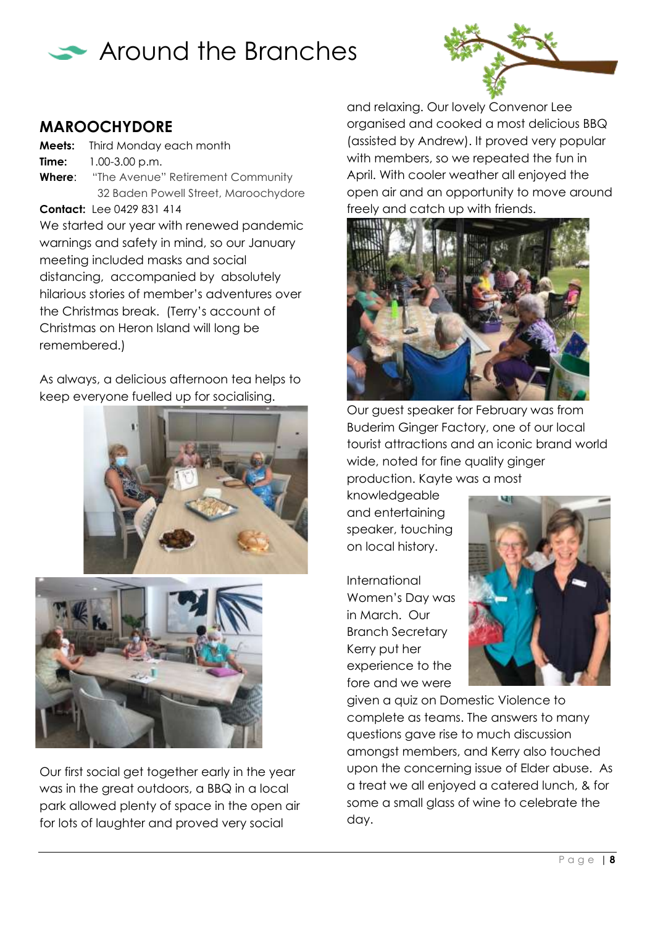



#### **MAROOCHYDORE**

**Meets:** Third Monday each month **Time:** 1.00-3.00 p.m. **Where**: "The Avenue" Retirement Community 32 Baden Powell Street, Maroochydore

**Contact:** Lee 0429 831 414

We started our year with renewed pandemic warnings and safety in mind, so our January meeting included masks and social distancing, accompanied by absolutely hilarious stories of member's adventures over the Christmas break. (Terry's account of Christmas on Heron Island will long be remembered.)

As always, a delicious afternoon tea helps to keep everyone fuelled up for socialising.





Our first social get together early in the year was in the great outdoors, a BBQ in a local park allowed plenty of space in the open air for lots of laughter and proved very social

and relaxing. Our lovely Convenor Lee organised and cooked a most delicious BBQ (assisted by Andrew). It proved very popular with members, so we repeated the fun in April. With cooler weather all enjoyed the open air and an opportunity to move around freely and catch up with friends.



Our guest speaker for February was from Buderim Ginger Factory, one of our local tourist attractions and an iconic brand world wide, noted for fine quality ginger production. Kayte was a most

knowledgeable and entertaining speaker, touching on local history.

International Women's Day was in March. Our Branch Secretary Kerry put her experience to the fore and we were



given a quiz on Domestic Violence to complete as teams. The answers to many questions gave rise to much discussion amongst members, and Kerry also touched upon the concerning issue of Elder abuse. As a treat we all enjoyed a catered lunch, & for some a small glass of wine to celebrate the day.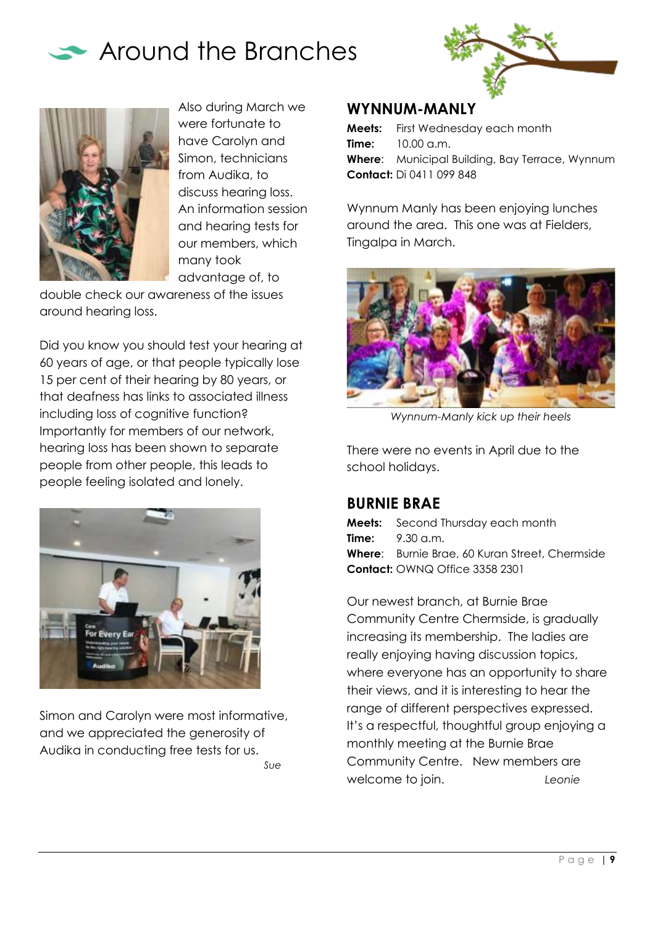





Also during March we were fortunate to have Carolyn and Simon, technicians from Audika, to discuss hearing loss. An information session and hearing tests for our members, which many took advantage of, to

double check our awareness of the issues around hearing loss.

Did you know you should test your hearing at 60 years of age, or that people typically lose 15 per cent of their hearing by 80 years, or that deafness has links to associated illness including loss of cognitive function? Importantly for members of our network, hearing loss has been shown to separate people from other people, this leads to people feeling isolated and lonely.



Simon and Carolyn were most informative, and we appreciated the generosity of Audika in conducting free tests for us. *Sue*

#### **WYNNUM-MANLY**

**Meets:** First Wednesday each month **Time:** 10.00 a.m. **Where**: Municipal Building, Bay Terrace, Wynnum **Contact:** Di 0411 099 848

Wynnum Manly has been enjoying lunches around the area. This one was at Fielders, Tingalpa in March.



*Wynnum-Manly kick up their heels*

There were no events in April due to the school holidays.

## **BURNIE BRAE**

**Meets:** Second Thursday each month **Time:**  $9.30 \text{ cm}$ **Where**: Burnie Brae, 60 Kuran Street, Chermside **Contact:** OWNQ Office 3358 2301

Our newest branch, at Burnie Brae Community Centre Chermside, is gradually increasing its membership. The ladies are really enjoying having discussion topics, where everyone has an opportunity to share their views, and it is interesting to hear the range of different perspectives expressed. It's a respectful, thoughtful group enjoying a monthly meeting at the Burnie Brae Community Centre. New members are welcome to join. *Leonie*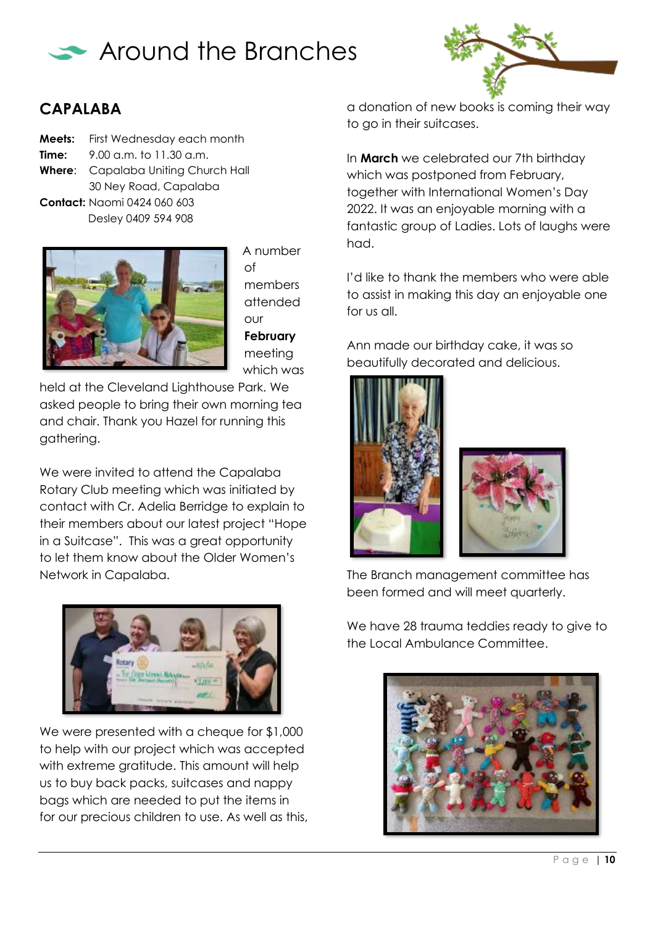



## **CAPALABA**

**Meets:** First Wednesday each month **Time:** 9.00 a.m. to 11.30 a.m. **Where**: Capalaba Uniting Church Hall 30 Ney Road, Capalaba **Contact:** Naomi 0424 060 603 Desley 0409 594 908



A number of members attended our **February** meeting which was

held at the Cleveland Lighthouse Park. We asked people to bring their own morning tea and chair. Thank you Hazel for running this gathering.

We were invited to attend the Capalaba Rotary Club meeting which was initiated by contact with Cr. Adelia Berridge to explain to their members about our latest project "Hope in a Suitcase". This was a great opportunity to let them know about the Older Women's Network in Capalaba.



We were presented with a cheque for \$1,000 to help with our project which was accepted with extreme gratitude. This amount will help us to buy back packs, suitcases and nappy bags which are needed to put the items in for our precious children to use. As well as this, a donation of new books is coming their way to go in their suitcases.

In **March** we celebrated our 7th birthday which was postponed from February, together with International Women's Day 2022. It was an enjoyable morning with a fantastic group of Ladies. Lots of laughs were had.

I'd like to thank the members who were able to assist in making this day an enjoyable one for us all.

Ann made our birthday cake, it was so beautifully decorated and delicious.





The Branch management committee has been formed and will meet quarterly.

We have 28 trauma teddies ready to give to the Local Ambulance Committee.

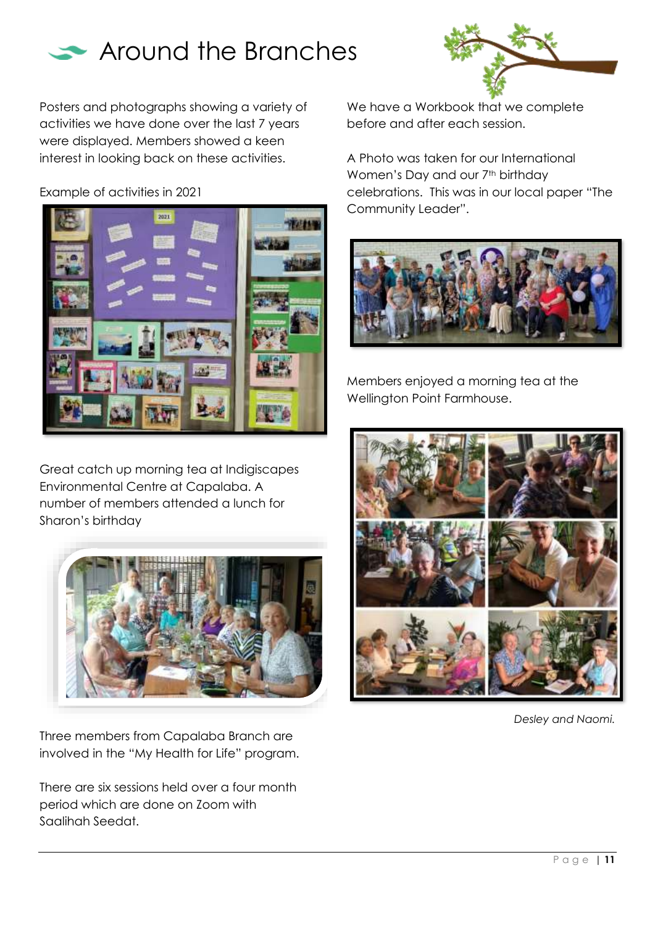

Posters and photographs showing a variety of activities we have done over the last 7 years were displayed. Members showed a keen interest in looking back on these activities.

Example of activities in 2021



Great catch up morning tea at Indigiscapes Environmental Centre at Capalaba. A number of members attended a lunch for Sharon's birthday



Three members from Capalaba Branch are involved in the "My Health for Life" program.

There are six sessions held over a four month period which are done on Zoom with Saalihah Seedat.

We have a Workbook that we complete before and after each session.

A Photo was taken for our International Women's Day and our 7<sup>th</sup> birthday celebrations. This was in our local paper "The Community Leader".



Members enjoyed a morning tea at the Wellington Point Farmhouse.



*Desley and Naomi.*

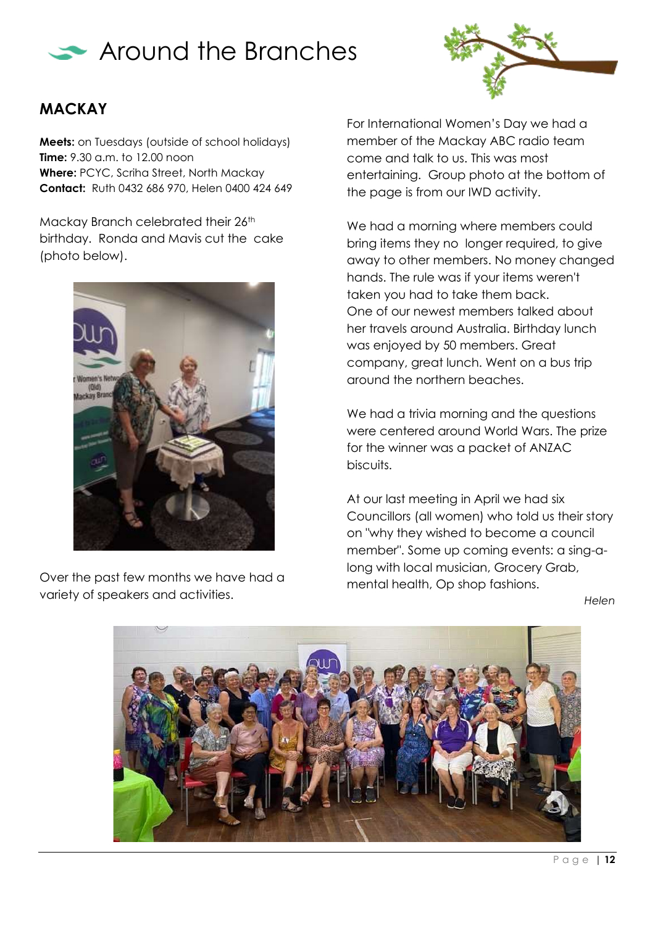



## **MACKAY**

**Meets:** on Tuesdays (outside of school holidays) **Time:** 9.30 a.m. to 12.00 noon **Where:** PCYC, Scriha Street, North Mackay **Contact:** Ruth 0432 686 970, Helen 0400 424 649

Mackay Branch celebrated their 26<sup>th</sup> birthday. Ronda and Mavis cut the cake (photo below).



Over the past few months we have had a variety of speakers and activities.

For International Women's Day we had a member of the Mackay ABC radio team come and talk to us. This was most entertaining. Group photo at the bottom of the page is from our IWD activity.

We had a morning where members could bring items they no longer required, to give away to other members. No money changed hands. The rule was if your items weren't taken you had to take them back. One of our newest members talked about her travels around Australia. Birthday lunch was enjoyed by 50 members. Great company, great lunch. Went on a bus trip around the northern beaches.

We had a trivia morning and the questions were centered around World Wars. The prize for the winner was a packet of ANZAC biscuits.

At our last meeting in April we had six Councillors (all women) who told us their story on "why they wished to become a council member". Some up coming events: a sing-along with local musician, Grocery Grab, mental health, Op shop fashions.

*Helen*

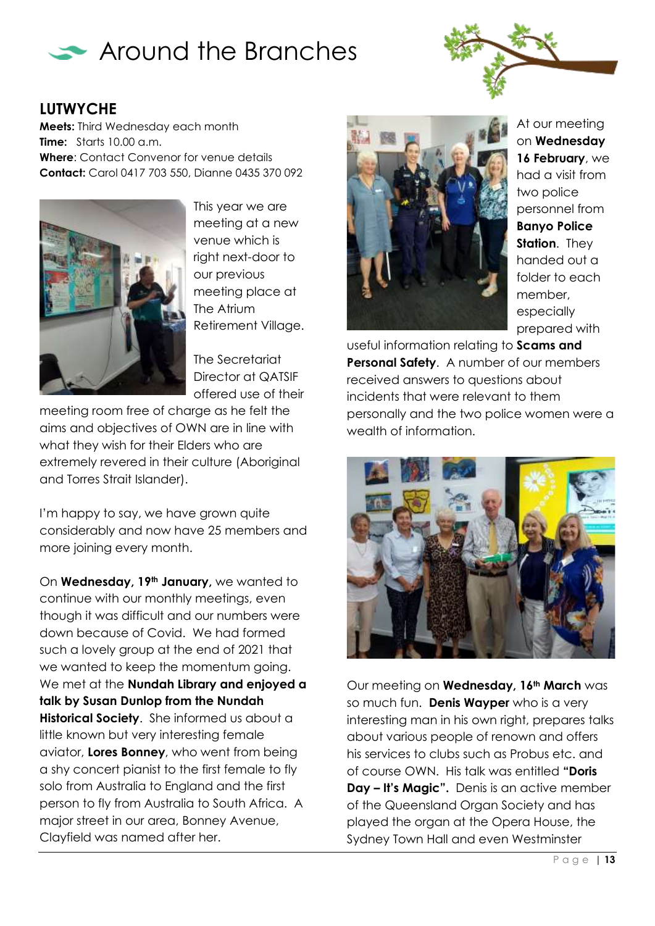



#### **LUTWYCHE**

**Meets:** Third Wednesday each month **Time:** Starts 10.00 a.m. **Where**: Contact Convenor for venue details **Contact:** Carol 0417 703 550, Dianne 0435 370 092



This year we are meeting at a new venue which is right next-door to our previous meeting place at The Atrium Retirement Village.

The Secretariat Director at QATSIF offered use of their

meeting room free of charge as he felt the aims and objectives of OWN are in line with what they wish for their Elders who are extremely revered in their culture (Aboriginal and Torres Strait Islander).

I'm happy to say, we have grown quite considerably and now have 25 members and more joining every month.

On **Wednesday, 19th January,** we wanted to continue with our monthly meetings, even though it was difficult and our numbers were down because of Covid. We had formed such a lovely group at the end of 2021 that we wanted to keep the momentum going. We met at the **Nundah Library and enjoyed a talk by Susan Dunlop from the Nundah Historical Society**. She informed us about a little known but very interesting female aviator, **Lores Bonney**, who went from being a shy concert pianist to the first female to fly solo from Australia to England and the first person to fly from Australia to South Africa. A major street in our area, Bonney Avenue, Clayfield was named after her.



At our meeting on **Wednesday 16 February**, we had a visit from two police personnel from **Banyo Police Station**. They handed out a folder to each member, especially prepared with

useful information relating to **Scams and Personal Safety.** A number of our members received answers to questions about incidents that were relevant to them personally and the two police women were a wealth of information.



Our meeting on **Wednesday, 16th March** was so much fun. **Denis Wayper** who is a very interesting man in his own right, prepares talks about various people of renown and offers his services to clubs such as Probus etc. and of course OWN. His talk was entitled **"Doris Day – It's Magic".** Denis is an active member of the Queensland Organ Society and has played the organ at the Opera House, the Sydney Town Hall and even Westminster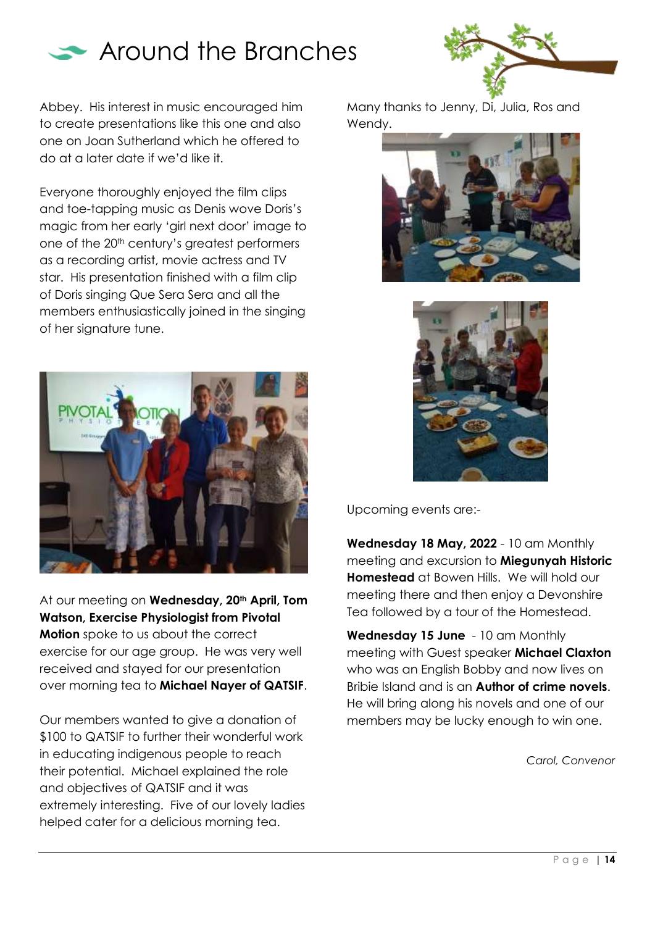

Abbey. His interest in music encouraged him to create presentations like this one and also one on Joan Sutherland which he offered to do at a later date if we'd like it.

Everyone thoroughly enjoyed the film clips and toe-tapping music as Denis wove Doris's magic from her early 'girl next door' image to one of the 20<sup>th</sup> century's greatest performers as a recording artist, movie actress and TV star. His presentation finished with a film clip of Doris singing Que Sera Sera and all the members enthusiastically joined in the singing of her signature tune.



At our meeting on **Wednesday, 20th April, Tom Watson, Exercise Physiologist from Pivotal Motion** spoke to us about the correct exercise for our age group. He was very well received and stayed for our presentation over morning tea to **Michael Nayer of QATSIF**.

Our members wanted to give a donation of \$100 to QATSIF to further their wonderful work in educating indigenous people to reach their potential. Michael explained the role and objectives of QATSIF and it was extremely interesting. Five of our lovely ladies helped cater for a delicious morning tea.

Many thanks to Jenny, Di, Julia, Ros and Wendy.





Upcoming events are:-

**Wednesday 18 May, 2022** - 10 am Monthly meeting and excursion to **Miegunyah Historic Homestead** at Bowen Hills. We will hold our meeting there and then enjoy a Devonshire Tea followed by a tour of the Homestead.

**Wednesday 15 June** - 10 am Monthly meeting with Guest speaker **Michael Claxton** who was an English Bobby and now lives on Bribie Island and is an **Author of crime novels**. He will bring along his novels and one of our members may be lucky enough to win one.

*Carol, Convenor*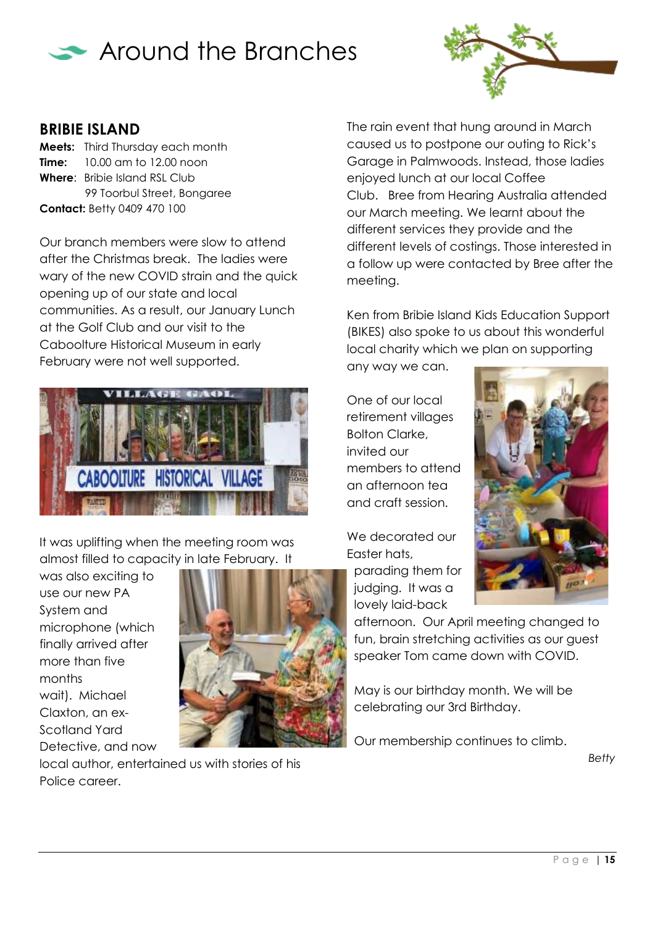



#### **BRIBIE ISLAND**

**Meets:** Third Thursday each month **Time:** 10.00 am to 12.00 noon **Where**: Bribie Island RSL Club 99 Toorbul Street, Bongaree **Contact:** Betty 0409 470 100

Our branch members were slow to attend after the Christmas break. The ladies were wary of the new COVID strain and the quick opening up of our state and local communities. As a result, our January Lunch at the Golf Club and our visit to the Caboolture Historical Museum in early February were not well supported.



It was uplifting when the meeting room was almost filled to capacity in late February. It

was also exciting to use our new PA System and microphone (which finally arrived after more than five months wait). Michael Claxton, an ex-Scotland Yard Detective, and now



local author, entertained us with stories of his Police career.

The rain event that hung around in March caused us to postpone our outing to Rick's Garage in Palmwoods. Instead, those ladies enjoyed lunch at our local Coffee Club. Bree from Hearing Australia attended our March meeting. We learnt about the different services they provide and the different levels of costings. Those interested in a follow up were contacted by Bree after the meeting.

Ken from Bribie Island Kids Education Support (BIKES) also spoke to us about this wonderful local charity which we plan on supporting any way we can.

One of our local retirement villages Bolton Clarke, invited our members to attend an afternoon tea and craft session.

We decorated our Easter hats, parading them for

judging. It was a lovely laid-back



afternoon. Our April meeting changed to fun, brain stretching activities as our guest speaker Tom came down with COVID.

May is our birthday month. We will be celebrating our 3rd Birthday.

Our membership continues to climb.

*Betty*